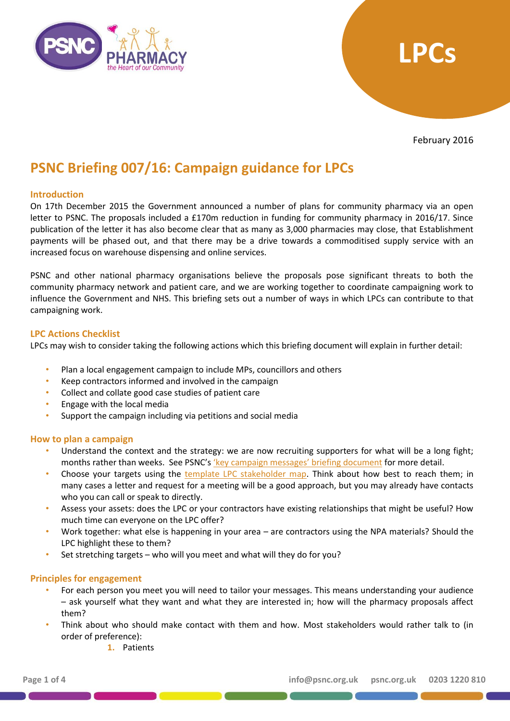



February 2016

# **PSNC Briefing 007/16: Campaign guidance for LPCs**

## **Introduction**

On 17th December 2015 the Government announced a number of plans for community pharmacy via an open letter to PSNC. The proposals included a £170m reduction in funding for community pharmacy in 2016/17. Since publication of the letter it has also become clear that as many as 3,000 pharmacies may close, that Establishment payments will be phased out, and that there may be a drive towards a commoditised supply service with an increased focus on warehouse dispensing and online services.

PSNC and other national pharmacy organisations believe the proposals pose significant threats to both the community pharmacy network and patient care, and we are working together to coordinate campaigning work to influence the Government and NHS. This briefing sets out a number of ways in which LPCs can contribute to that campaigning work.

#### **LPC Actions Checklist**

LPCs may wish to consider taking the following actions which this briefing document will explain in further detail:

- Plan a local engagement campaign to include MPs, councillors and others
- Keep contractors informed and involved in the campaign
- Collect and collate good case studies of patient care
- Engage with the local media
- Support the campaign including via petitions and social media

#### **How to plan a campaign**

- Understand the context and the strategy: we are now recruiting supporters for what will be a long fight; months rather than weeks. See PSNC's 'key [campaign messages' briefing document](http://psnc.org.uk/psncs-work/psnc-briefings-psncs-work/psnc-briefing-00716-campaigning-guidance-for-LPCs-February-2016) for more detail.
- Choose your targets using the [template LPC stakeholder map.](http://psnc.org.uk/psncs-work/psnc-briefings-psncs-work/psnc-briefing-00716-campaigning-guidance-for-LPCs-February-2016) Think about how best to reach them; in many cases a letter and request for a meeting will be a good approach, but you may already have contacts who you can call or speak to directly.
- Assess your assets: does the LPC or your contractors have existing relationships that might be useful? How much time can everyone on the LPC offer?
- Work together: what else is happening in your area are contractors using the NPA materials? Should the LPC highlight these to them?
- Set stretching targets who will you meet and what will they do for you?

## **Principles for engagement**

- For each person you meet you will need to tailor your messages. This means understanding your audience – ask yourself what they want and what they are interested in; how will the pharmacy proposals affect them?
- Think about who should make contact with them and how. Most stakeholders would rather talk to (in order of preference):
	- **1.** Patients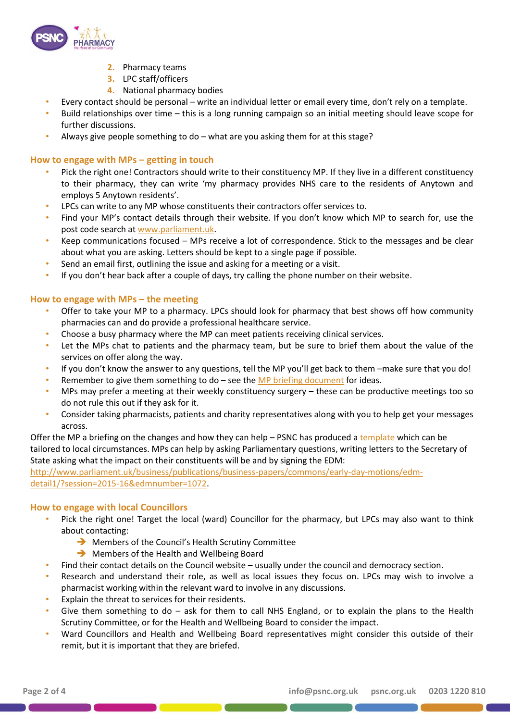

- **2.** Pharmacy teams
- **3.** LPC staff/officers
- **4.** National pharmacy bodies
- Every contact should be personal write an individual letter or email every time, don't rely on a template.
- Build relationships over time this is a long running campaign so an initial meeting should leave scope for further discussions.
- Always give people something to do what are you asking them for at this stage?

## **How to engage with MPs – getting in touch**

- Pick the right one! Contractors should write to their constituency MP. If they live in a different constituency to their pharmacy, they can write 'my pharmacy provides NHS care to the residents of Anytown and employs 5 Anytown residents'.
- LPCs can write to any MP whose constituents their contractors offer services to.
- Find your MP's contact details through their website. If you don't know which MP to search for, use the post code search at [www.parliament.uk.](http://www.parliament.uk/)
- Keep communications focused MPs receive a lot of correspondence. Stick to the messages and be clear about what you are asking. Letters should be kept to a single page if possible.
- Send an email first, outlining the issue and asking for a meeting or a visit.
- If you don't hear back after a couple of days, try calling the phone number on their website.

## **How to engage with MPs – the meeting**

- Offer to take your MP to a pharmacy. LPCs should look for pharmacy that best shows off how community pharmacies can and do provide a professional healthcare service.
- Choose a busy pharmacy where the MP can meet patients receiving clinical services.
- Let the MPs chat to patients and the pharmacy team, but be sure to brief them about the value of the services on offer along the way.
- If you don't know the answer to any questions, tell the MP you'll get back to them –make sure that you do!
- Remember to give them something to do  $-$  see the  $MP$  briefing document for ideas.
- MPs may prefer a meeting at their weekly constituency surgery these can be productive meetings too so do not rule this out if they ask for it.
- Consider taking pharmacists, patients and charity representatives along with you to help get your messages across.

Offer the MP a briefing on the changes and how they can help – PSNC has produced a [template](http://psnc.org.uk/psncs-work/psnc-briefings-psncs-work/psnc-briefing-00716-campaigning-guidance-for-LPCs-February-2016) which can be tailored to local circumstances. MPs can help by asking Parliamentary questions, writing letters to the Secretary of State asking what the impact on their constituents will be and by signing the EDM:

[http://www.parliament.uk/business/publications/business-papers/commons/early-day-motions/edm](http://www.parliament.uk/business/publications/business-papers/commons/early-day-motions/edm-detail1/?session=2015-16&edmnumber=1072)[detail1/?session=2015-16&edmnumber=1072.](http://www.parliament.uk/business/publications/business-papers/commons/early-day-motions/edm-detail1/?session=2015-16&edmnumber=1072)

## **How to engage with local Councillors**

- Pick the right one! Target the local (ward) Councillor for the pharmacy, but LPCs may also want to think about contacting:
	- Members of the Council's Health Scrutiny Committee
	- Members of the Health and Wellbeing Board
- Find their contact details on the Council website usually under the council and democracy section.
- Research and understand their role, as well as local issues they focus on. LPCs may wish to involve a pharmacist working within the relevant ward to involve in any discussions.
- Explain the threat to services for their residents.
- Give them something to do  $-$  ask for them to call NHS England, or to explain the plans to the Health Scrutiny Committee, or for the Health and Wellbeing Board to consider the impact.
- Ward Councillors and Health and Wellbeing Board representatives might consider this outside of their remit, but it is important that they are briefed.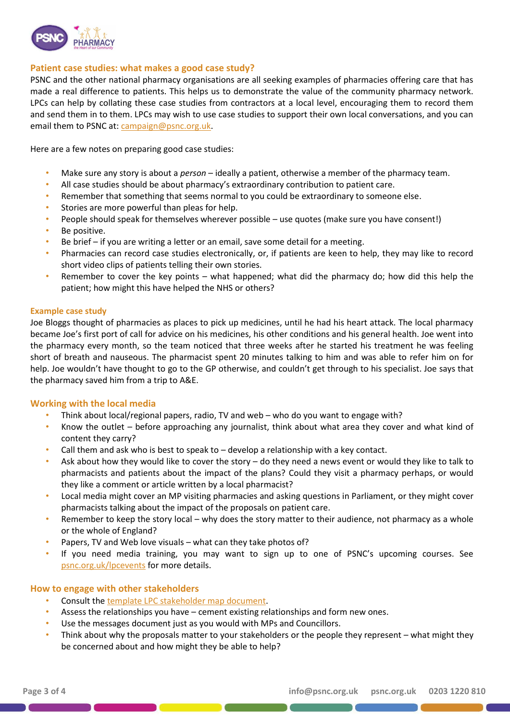

## **Patient case studies: what makes a good case study?**

PSNC and the other national pharmacy organisations are all seeking examples of pharmacies offering care that has made a real difference to patients. This helps us to demonstrate the value of the community pharmacy network. LPCs can help by collating these case studies from contractors at a local level, encouraging them to record them and send them in to them. LPCs may wish to use case studies to support their own local conversations, and you can email them to PSNC at: [campaign@psnc.org.uk.](mailto:campaign@psnc.org.uk)

Here are a few notes on preparing good case studies:

- Make sure any story is about a *person*  ideally a patient, otherwise a member of the pharmacy team.
- All case studies should be about pharmacy's extraordinary contribution to patient care.
- Remember that something that seems normal to you could be extraordinary to someone else.
- Stories are more powerful than pleas for help.
- People should speak for themselves wherever possible use quotes (make sure you have consent!)
- Be positive.
- Be brief if you are writing a letter or an email, save some detail for a meeting.
- Pharmacies can record case studies electronically, or, if patients are keen to help, they may like to record short video clips of patients telling their own stories.
- Remember to cover the key points what happened; what did the pharmacy do; how did this help the patient; how might this have helped the NHS or others?

#### **Example case study**

Joe Bloggs thought of pharmacies as places to pick up medicines, until he had his heart attack. The local pharmacy became Joe's first port of call for advice on his medicines, his other conditions and his general health. Joe went into the pharmacy every month, so the team noticed that three weeks after he started his treatment he was feeling short of breath and nauseous. The pharmacist spent 20 minutes talking to him and was able to refer him on for help. Joe wouldn't have thought to go to the GP otherwise, and couldn't get through to his specialist. Joe says that the pharmacy saved him from a trip to A&E.

## **Working with the local media**

- Think about local/regional papers, radio, TV and web who do you want to engage with?
- Know the outlet before approaching any journalist, think about what area they cover and what kind of content they carry?
- Call them and ask who is best to speak to  $-$  develop a relationship with a key contact.
- Ask about how they would like to cover the story do they need a news event or would they like to talk to pharmacists and patients about the impact of the plans? Could they visit a pharmacy perhaps, or would they like a comment or article written by a local pharmacist?
- Local media might cover an MP visiting pharmacies and asking questions in Parliament, or they might cover pharmacists talking about the impact of the proposals on patient care.
- Remember to keep the story local why does the story matter to their audience, not pharmacy as a whole or the whole of England?
- Papers, TV and Web love visuals what can they take photos of?
- If you need media training, you may want to sign up to one of PSNC's upcoming courses. See [psnc.org.uk/lpcevents](http://psnc.org.uk/our-events/psnc-training-event-media-skills-training/) for more details.

## **How to engage with other stakeholders**

- Consult the [template LPC stakeholder map document.](http://psnc.org.uk/psncs-work/psnc-briefings-psncs-work/psnc-briefing-00716-campaigning-guidance-for-LPCs-February-2016)
- Assess the relationships you have cement existing relationships and form new ones.
- Use the messages document just as you would with MPs and Councillors.
- Think about why the proposals matter to your stakeholders or the people they represent what might they be concerned about and how might they be able to help?